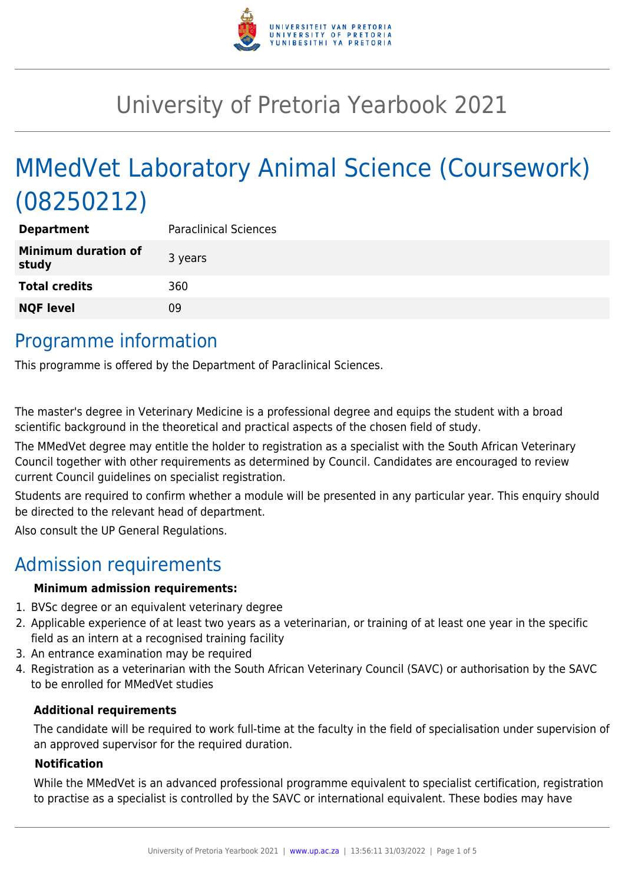

# University of Pretoria Yearbook 2021

# MMedVet Laboratory Animal Science (Coursework) (08250212)

| <b>Department</b>                   | <b>Paraclinical Sciences</b> |
|-------------------------------------|------------------------------|
| <b>Minimum duration of</b><br>study | 3 years                      |
| <b>Total credits</b>                | 360                          |
| <b>NQF level</b>                    | 09                           |
|                                     |                              |

### Programme information

This programme is offered by the Department of Paraclinical Sciences.

The master's degree in Veterinary Medicine is a professional degree and equips the student with a broad scientific background in the theoretical and practical aspects of the chosen field of study.

The MMedVet degree may entitle the holder to registration as a specialist with the South African Veterinary Council together with other requirements as determined by Council. Candidates are encouraged to review current Council guidelines on specialist registration.

Students are required to confirm whether a module will be presented in any particular year. This enquiry should be directed to the relevant head of department.

Also consult the UP General Regulations.

### Admission requirements

#### **Minimum admission requirements:**

- 1. BVSc degree or an equivalent veterinary degree
- 2. Applicable experience of at least two years as a veterinarian, or training of at least one year in the specific field as an intern at a recognised training facility
- 3. An entrance examination may be required
- 4. Registration as a veterinarian with the South African Veterinary Council (SAVC) or authorisation by the SAVC to be enrolled for MMedVet studies

#### **Additional requirements**

The candidate will be required to work full-time at the faculty in the field of specialisation under supervision of an approved supervisor for the required duration.

#### **Notification**

While the MMedVet is an advanced professional programme equivalent to specialist certification, registration to practise as a specialist is controlled by the SAVC or international equivalent. These bodies may have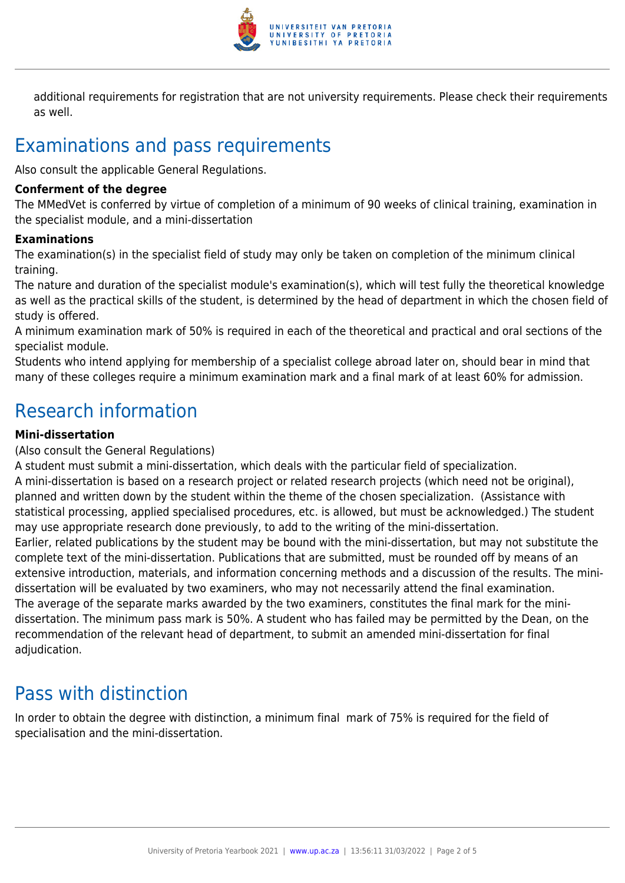

additional requirements for registration that are not university requirements. Please check their requirements as well.

# Examinations and pass requirements

Also consult the applicable General Regulations.

#### **Conferment of the degree**

The MMedVet is conferred by virtue of completion of a minimum of 90 weeks of clinical training, examination in the specialist module, and a mini-dissertation

#### **Examinations**

The examination(s) in the specialist field of study may only be taken on completion of the minimum clinical training.

The nature and duration of the specialist module's examination(s), which will test fully the theoretical knowledge as well as the practical skills of the student, is determined by the head of department in which the chosen field of study is offered.

A minimum examination mark of 50% is required in each of the theoretical and practical and oral sections of the specialist module.

Students who intend applying for membership of a specialist college abroad later on, should bear in mind that many of these colleges require a minimum examination mark and a final mark of at least 60% for admission.

### Research information

#### **Mini-dissertation**

#### (Also consult the General Regulations)

A student must submit a mini-dissertation, which deals with the particular field of specialization. A mini-dissertation is based on a research project or related research projects (which need not be original), planned and written down by the student within the theme of the chosen specialization. (Assistance with statistical processing, applied specialised procedures, etc. is allowed, but must be acknowledged.) The student may use appropriate research done previously, to add to the writing of the mini-dissertation. Earlier, related publications by the student may be bound with the mini-dissertation, but may not substitute the complete text of the mini-dissertation. Publications that are submitted, must be rounded off by means of an extensive introduction, materials, and information concerning methods and a discussion of the results. The minidissertation will be evaluated by two examiners, who may not necessarily attend the final examination. The average of the separate marks awarded by the two examiners, constitutes the final mark for the minidissertation. The minimum pass mark is 50%. A student who has failed may be permitted by the Dean, on the recommendation of the relevant head of department, to submit an amended mini-dissertation for final adjudication.

### Pass with distinction

In order to obtain the degree with distinction, a minimum final mark of 75% is required for the field of specialisation and the mini-dissertation.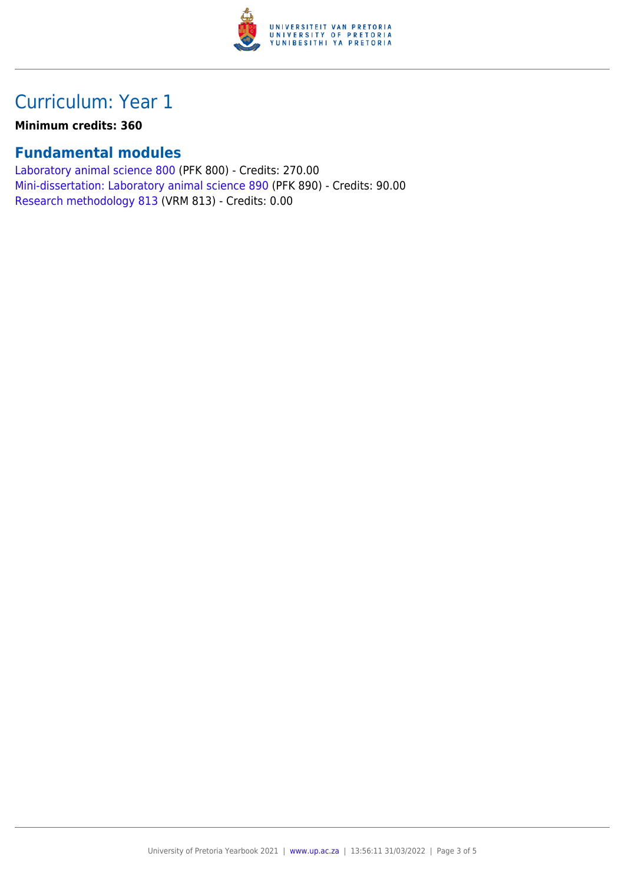

## Curriculum: Year 1

**Minimum credits: 360**

### **Fundamental modules**

[Laboratory animal science 800](https://www.up.ac.za/parents/yearbooks/2021/modules/view/PFK 800) (PFK 800) - Credits: 270.00 [Mini-dissertation: Laboratory animal science 890](https://www.up.ac.za/parents/yearbooks/2021/modules/view/PFK 890) (PFK 890) - Credits: 90.00 [Research methodology 813](https://www.up.ac.za/parents/yearbooks/2021/modules/view/VRM 813) (VRM 813) - Credits: 0.00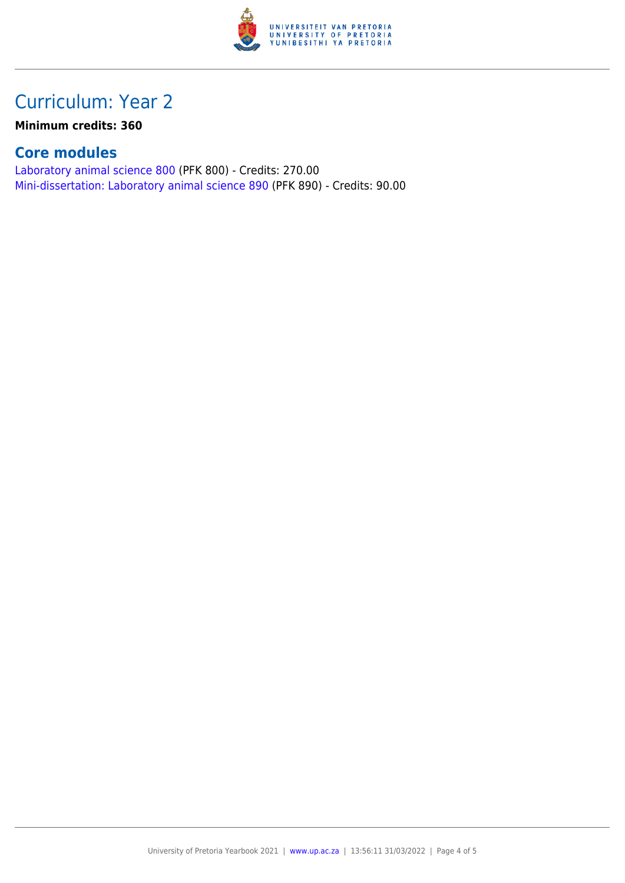

## Curriculum: Year 2

**Minimum credits: 360**

### **Core modules**

[Laboratory animal science 800](https://www.up.ac.za/parents/yearbooks/2021/modules/view/PFK 800) (PFK 800) - Credits: 270.00 [Mini-dissertation: Laboratory animal science 890](https://www.up.ac.za/parents/yearbooks/2021/modules/view/PFK 890) (PFK 890) - Credits: 90.00